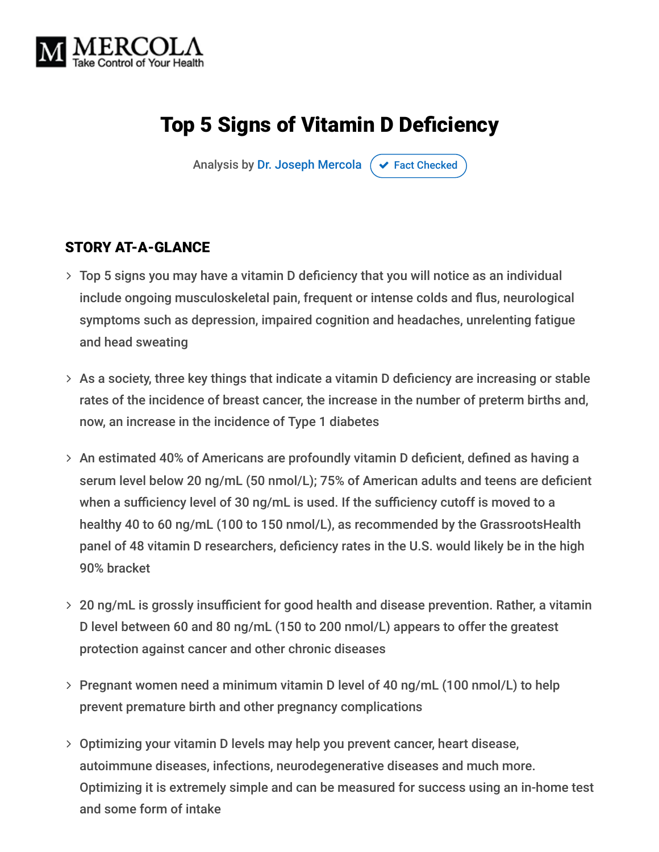

# Top 5 Signs of Vitamin D Deficiency

Analysis by [Dr. Joseph Mercola](https://www.mercola.com/forms/background.htm)  $\sigma$  [Fact Checked](javascript:void(0))

#### STORY AT-A-GLANCE

- Top 5 signs you may have a vitamin D deficiency that you will notice as an individual include ongoing musculoskeletal pain, frequent or intense colds and flus, neurological symptoms such as depression, impaired cognition and headaches, unrelenting fatigue and head sweating
- As a society, three key things that indicate a vitamin D deficiency are increasing or stable rates of the incidence of breast cancer, the increase in the number of preterm births and, now, an increase in the incidence of Type 1 diabetes
- An estimated 40% of Americans are profoundly vitamin D deficient, defined as having a serum level below 20 ng/mL (50 nmol/L); 75% of American adults and teens are deficient when a sufficiency level of 30 ng/mL is used. If the sufficiency cutoff is moved to a healthy 40 to 60 ng/mL (100 to 150 nmol/L), as recommended by the GrassrootsHealth panel of 48 vitamin D researchers, deficiency rates in the U.S. would likely be in the high 90% bracket
- 20 ng/mL is grossly insufficient for good health and disease prevention. Rather, a vitamin D level between 60 and 80 ng/mL (150 to 200 nmol/L) appears to offer the greatest protection against cancer and other chronic diseases
- > Pregnant women need a minimum vitamin D level of 40 ng/mL (100 nmol/L) to help prevent premature birth and other pregnancy complications
- Optimizing your vitamin D levels may help you prevent cancer, heart disease, autoimmune diseases, infections, neurodegenerative diseases and much more. Optimizing it is extremely simple and can be measured for success using an in-home test and some form of intake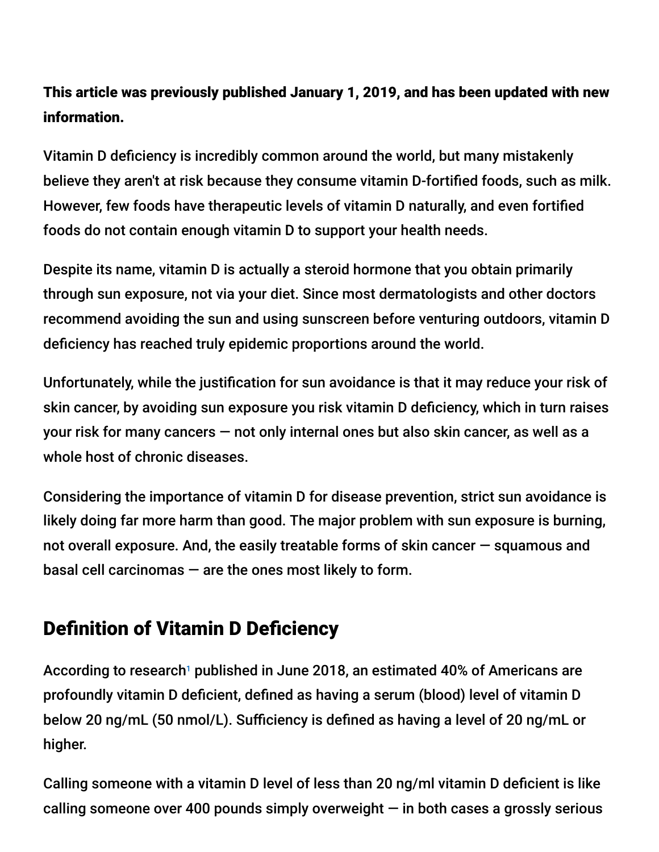### This article was previously published January 1, 2019, and has been updated with new information.

Vitamin D deficiency is incredibly common around the world, but many mistakenly believe they aren't at risk because they consume vitamin D-fortified foods, such as milk. However, few foods have therapeutic levels of vitamin D naturally, and even fortified foods do not contain enough vitamin D to support your health needs.

Despite its name, vitamin D is actually a steroid hormone that you obtain primarily through sun exposure, not via your diet. Since most dermatologists and other doctors recommend avoiding the sun and using sunscreen before venturing outdoors, vitamin D deficiency has reached truly epidemic proportions around the world.

Unfortunately, while the justification for sun avoidance is that it may reduce your risk of skin cancer, by avoiding sun exposure you risk vitamin D deficiency, which in turn raises your risk for many cancers — not only internal ones but also skin cancer, as well as a whole host of chronic diseases.

Considering the importance of vitamin D for disease prevention, strict sun avoidance is likely doing far more harm than good. The major problem with sun exposure is burning, not overall exposure. And, the easily treatable forms of skin cancer — squamous and basal cell carcinomas — are the ones most likely to form.

## Definition of Vitamin D Deficiency

According to research1 published in June 2018, an estimated 40% of Americans are profoundly vitamin D deficient, defined as having a serum (blood) level of vitamin D below 20 ng/mL (50 nmol/L). Sufficiency is defined as having a level of 20 ng/mL or higher.

Calling someone with a vitamin D level of less than 20 ng/ml vitamin D deficient is like calling someone over 400 pounds simply overweight  $-$  in both cases a grossly serious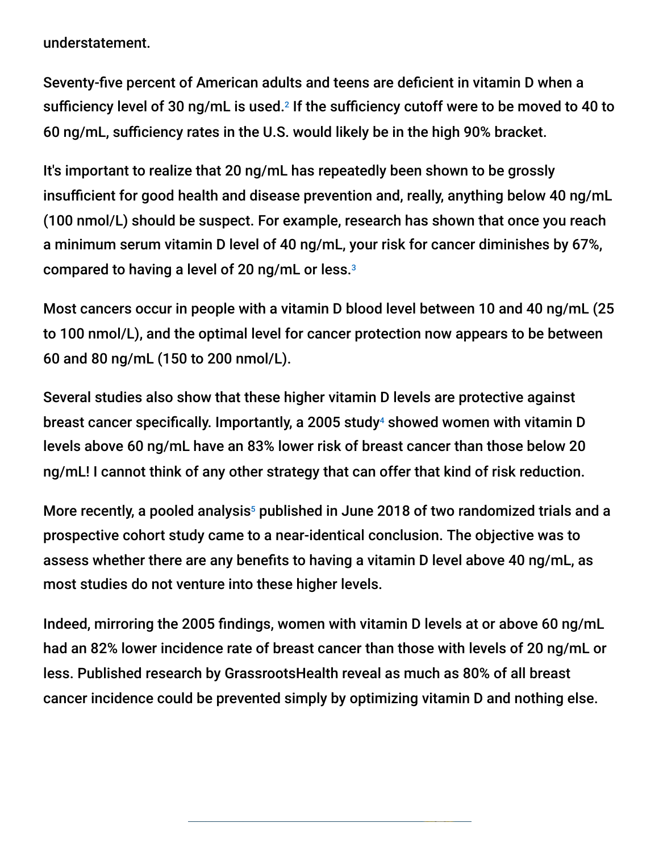understatement.

Seventy-five percent of American adults and teens are deficient in vitamin D when a sufficiency level of 30 ng/mL is used. $^{\text{2}}$  If the sufficiency cutoff were to be moved to 40 to 60 ng/mL, sufficiency rates in the U.S. would likely be in the high 90% bracket.

It's important to realize that 20 ng/mL has repeatedly been shown to be grossly insufficient for good health and disease prevention and, really, anything below 40 ng/mL (100 nmol/L) should be suspect. For example, research has shown that once you reach a minimum serum vitamin D level of 40 ng/mL, your risk for cancer diminishes by 67%, compared to having a level of 20 ng/mL or less. 3

Most cancers occur in people with a vitamin D blood level between 10 and 40 ng/mL (25 to 100 nmol/L), and the optimal level for cancer protection now appears to be between 60 and 80 ng/mL (150 to 200 nmol/L).

Several studies also show that these higher vitamin D levels are protective against breast cancer specifically. Importantly, a 2005 study<sup>4</sup> showed women with vitamin D levels above 60 ng/mL have an 83% lower risk of breast cancer than those below 20 ng/mL! I cannot think of any other strategy that can offer that kind of risk reduction.

More recently, a pooled analysis $5$  published in June 2018 of two randomized trials and a prospective cohort study came to a near-identical conclusion. The objective was to assess whether there are any benefits to having a vitamin D level above 40 ng/mL, as most studies do not venture into these higher levels.

Indeed, mirroring the 2005 findings, women with vitamin D levels at or above 60 ng/mL had an 82% lower incidence rate of breast cancer than those with levels of 20 ng/mL or less. Published research by GrassrootsHealth reveal as much as 80% of all breast cancer incidence could be prevented simply by optimizing vitamin D and nothing else.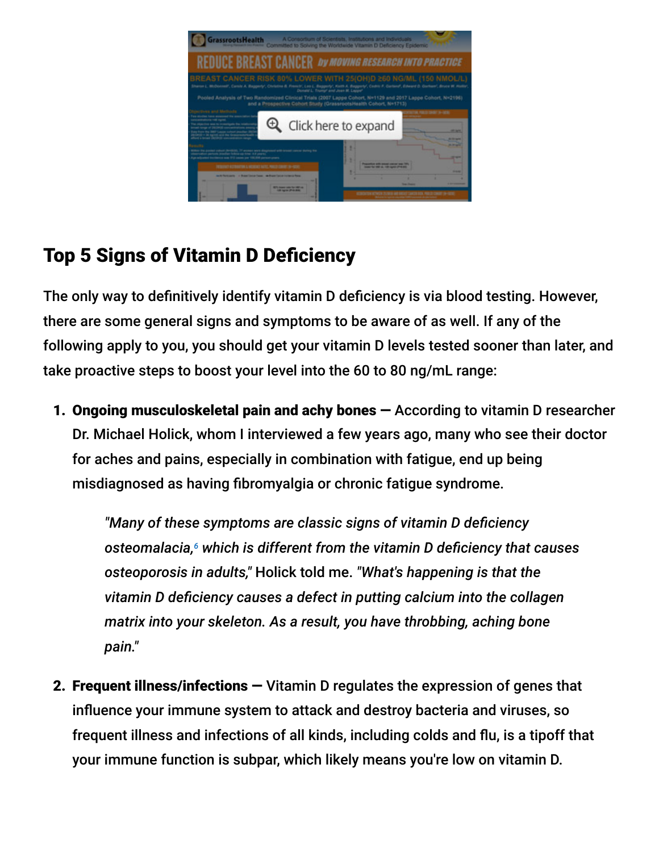

## Top 5 Signs of Vitamin D Deficiency

The only way to definitively identify vitamin D deficiency is via blood testing. However, there are some general signs and symptoms to be aware of as well. If any of the following apply to you, you should get your vitamin D levels tested sooner than later, and take proactive steps to boost your level into the 60 to 80 ng/mL range:

1. Ongoing musculoskeletal pain and achy bones — According to vitamin D researcher Dr. Michael Holick, whom I interviewed a few years ago, many who see their doctor for aches and pains, especially in combination with fatigue, end up being misdiagnosed as having fibromyalgia or chronic fatigue syndrome.

*"Many of these symptoms are classic signs of vitamin D deficiency* osteomalacia, $\epsilon$  which is different from the vitamin D deficiency that causes *osteoporosis in adults,"* Holick told me. *"What's happening is that the vitamin D deficiency causes a defect in putting calcium into the collagen matrix into your skeleton. As a result, you have throbbing, aching bone pain."*

2. Frequent illness/infections — Vitamin D regulates the expression of genes that influence your immune system to attack and destroy bacteria and viruses, so frequent illness and infections of all kinds, including colds and flu, is a tipoff that your immune function is subpar, which likely means you're low on vitamin D.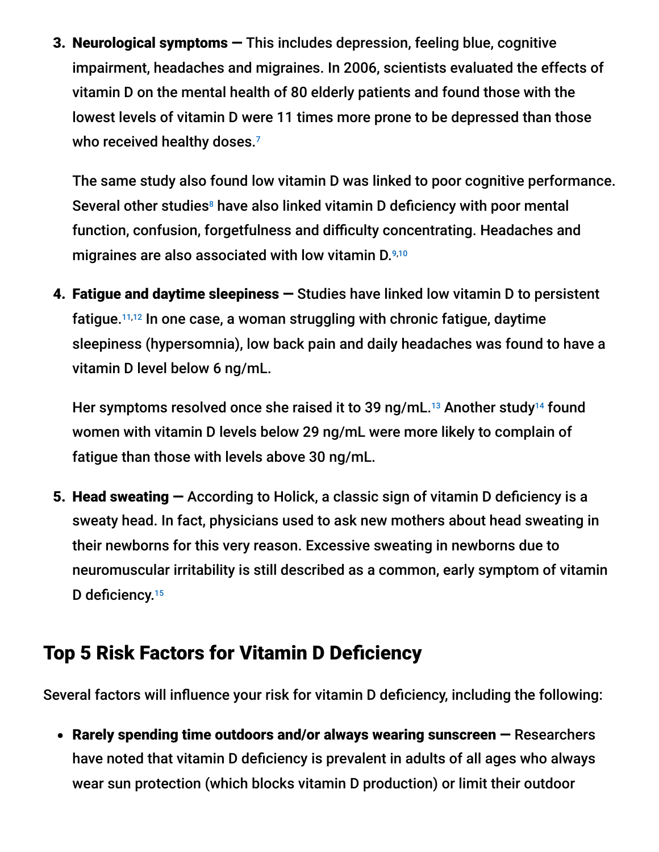3. Neurological symptoms — This includes depression, feeling blue, cognitive impairment, headaches and migraines. In 2006, scientists evaluated the effects of vitamin D on the mental health of 80 elderly patients and found those with the lowest levels of vitamin D were 11 times more prone to be depressed than those who received healthy doses. 7

The same study also found low vitamin D was linked to poor cognitive performance. Several other studies<sup>8</sup> have also linked vitamin D deficiency with poor mental function, confusion, forgetfulness and difficulty concentrating. Headaches and migraines are also associated with low vitamin D. 9,10

4. Fatigue and daytime sleepiness — Studies have linked low vitamin D to persistent fatigue.<sup>11,12</sup> In one case, a woman struggling with chronic fatigue, daytime sleepiness (hypersomnia), low back pain and daily headaches was found to have a vitamin D level below 6 ng/mL.

Her symptoms resolved once she raised it to 39 ng/mL.<sup>13</sup> Another study<sup>14</sup> found women with vitamin D levels below 29 ng/mL were more likely to complain of fatigue than those with levels above 30 ng/mL.

5. Head sweating — According to Holick, a classic sign of vitamin D deficiency is a sweaty head. In fact, physicians used to ask new mothers about head sweating in their newborns for this very reason. Excessive sweating in newborns due to neuromuscular irritability is still described as a common, early symptom of vitamin D deficiency.<sup>15</sup>

## Top 5 Risk Factors for Vitamin D Deficiency

Several factors will influence your risk for vitamin D deficiency, including the following:

• Rarely spending time outdoors and/or always wearing sunscreen – Researchers have noted that vitamin D deficiency is prevalent in adults of all ages who always wear sun protection (which blocks vitamin D production) or limit their outdoor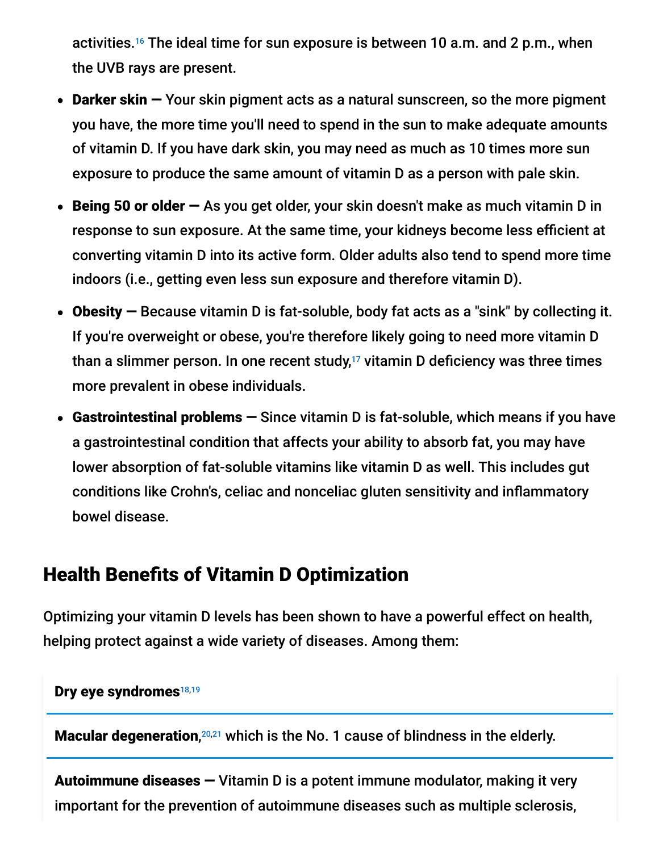activities.<sup>16</sup> The ideal time for sun exposure is between 10 a.m. and 2 p.m., when the UVB rays are present.

- Darker skin Your skin pigment acts as a natural sunscreen, so the more pigment you have, the more time you'll need to spend in the sun to make adequate amounts of vitamin D. If you have dark skin, you may need as much as 10 times more sun exposure to produce the same amount of vitamin D as a person with pale skin.
- **Being 50 or older**  $-$  As you get older, your skin doesn't make as much vitamin D in response to sun exposure. At the same time, your kidneys become less efficient at converting vitamin D into its active form. Older adults also tend to spend more time indoors (i.e., getting even less sun exposure and therefore vitamin D).
- Obesity Because vitamin D is fat-soluble, body fat acts as a "sink" by collecting it. If you're overweight or obese, you're therefore likely going to need more vitamin D than a slimmer person. In one recent study, $17$  vitamin D deficiency was three times more prevalent in obese individuals.
- Gastrointestinal problems Since vitamin D is fat-soluble, which means if you have a gastrointestinal condition that affects your ability to absorb fat, you may have lower absorption of fat-soluble vitamins like vitamin D as well. This includes gut conditions like Crohn's, celiac and nonceliac gluten sensitivity and inflammatory bowel disease.

### Health Benefits of Vitamin D Optimization

Optimizing your vitamin D levels has been shown to have a powerful effect on health, helping protect against a wide variety of diseases. Among them:

#### Dry eye syndromes<sup>18,19</sup>

Macular degeneration, $20,21$  which is the No. 1 cause of blindness in the elderly.

Autoimmune diseases — Vitamin D is a potent immune modulator, making it very important for the prevention of autoimmune diseases such as multiple sclerosis,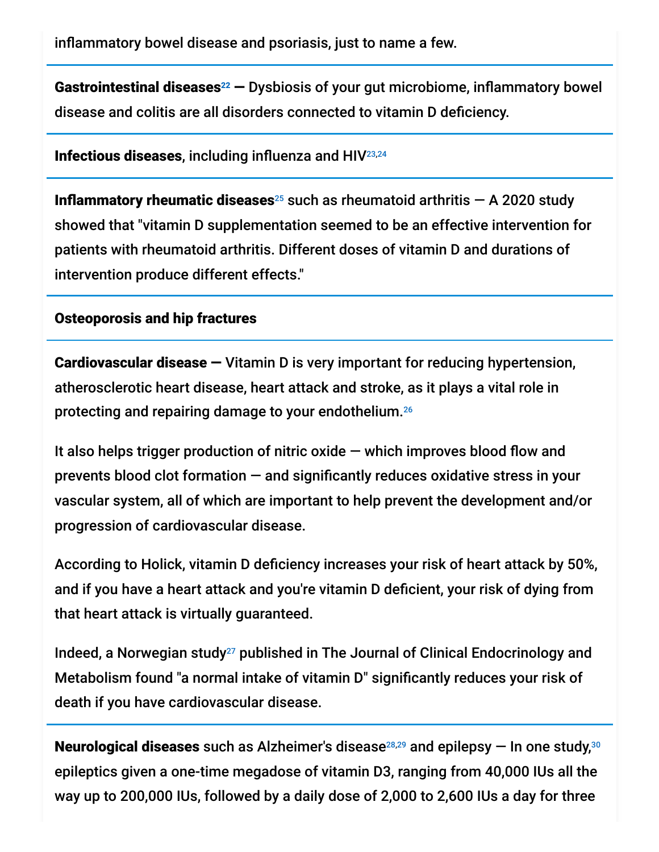inflammatory bowel disease and psoriasis, just to name a few.

Gastrointestinal diseases<sup>22</sup>  $-$  Dysbiosis of your gut microbiome, inflammatory bowel disease and colitis are all disorders connected to vitamin D deficiency.

Infectious diseases, including influenza and HIV 23,24

**Inflammatory rheumatic diseases**<sup>25</sup> such as rheumatoid arthritis  $-$  A 2020 study showed that "vitamin D supplementation seemed to be an effective intervention for patients with rheumatoid arthritis. Different doses of vitamin D and durations of intervention produce different effects."

#### Osteoporosis and hip fractures

Cardiovascular disease — Vitamin D is very important for reducing hypertension, atherosclerotic heart disease, heart attack and stroke, as it plays a vital role in protecting and repairing damage to your endothelium. 26

It also helps trigger production of nitric oxide  $-$  which improves blood flow and prevents blood clot formation — and significantly reduces oxidative stress in your vascular system, all of which are important to help prevent the development and/or progression of cardiovascular disease.

According to Holick, vitamin D deficiency increases your risk of heart attack by 50%, and if you have a heart attack and you're vitamin D deficient, your risk of dying from that heart attack is virtually guaranteed.

Indeed, a Norwegian study<sup>27</sup> published in The Journal of Clinical Endocrinology and Metabolism found "a normal intake of vitamin D" significantly reduces your risk of death if you have cardiovascular disease.

**Neurological diseases** such as Alzheimer's disease $^{28,29}$  and epilepsy  $-$  In one study, $^{30}$ epileptics given a one-time megadose of vitamin D3, ranging from 40,000 IUs all the way up to 200,000 IUs, followed by a daily dose of 2,000 to 2,600 IUs a day for three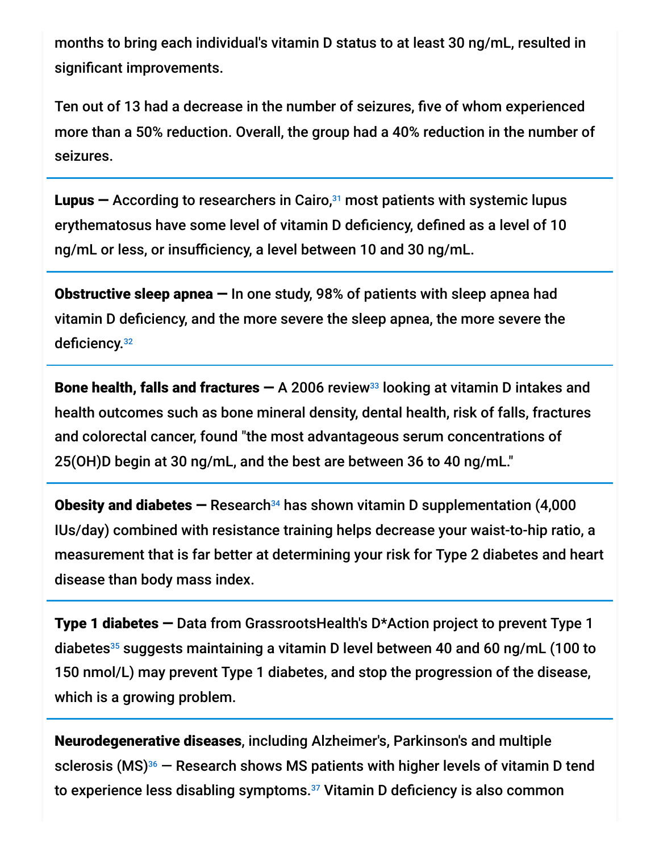months to bring each individual's vitamin D status to at least 30 ng/mL, resulted in significant improvements.

Ten out of 13 had a decrease in the number of seizures, five of whom experienced more than a 50% reduction. Overall, the group had a 40% reduction in the number of seizures.

**Lupus –** According to researchers in Cairo, $31$  most patients with systemic lupus erythematosus have some level of vitamin D deficiency, defined as a level of 10 ng/mL or less, or insufficiency, a level between 10 and 30 ng/mL.

Obstructive sleep apnea — In one study, 98% of patients with sleep apnea had vitamin D deficiency, and the more severe the sleep apnea, the more severe the deficiency.<sup>32</sup>

Bone health, falls and fractures  $-$  A 2006 review<sup>33</sup> looking at vitamin D intakes and health outcomes such as bone mineral density, dental health, risk of falls, fractures and colorectal cancer, found "the most advantageous serum concentrations of 25(OH)D begin at 30 ng/mL, and the best are between 36 to 40 ng/mL."

**Obesity and diabetes –** Research<sup>34</sup> has shown vitamin D supplementation (4,000 IUs/day) combined with resistance training helps decrease your waist-to-hip ratio, a measurement that is far better at determining your risk for Type 2 diabetes and heart disease than body mass index.

Type 1 diabetes — Data from GrassrootsHealth's D\*Action project to prevent Type 1 diabetes<sup>35</sup> suggests maintaining a vitamin D level between 40 and 60 ng/mL (100 to 150 nmol/L) may prevent Type 1 diabetes, and stop the progression of the disease, which is a growing problem.

Neurodegenerative diseases, including Alzheimer's, Parkinson's and multiple sclerosis (MS) $36$  – Research shows MS patients with higher levels of vitamin D tend to experience less disabling symptoms.<sup>37</sup> Vitamin D deficiency is also common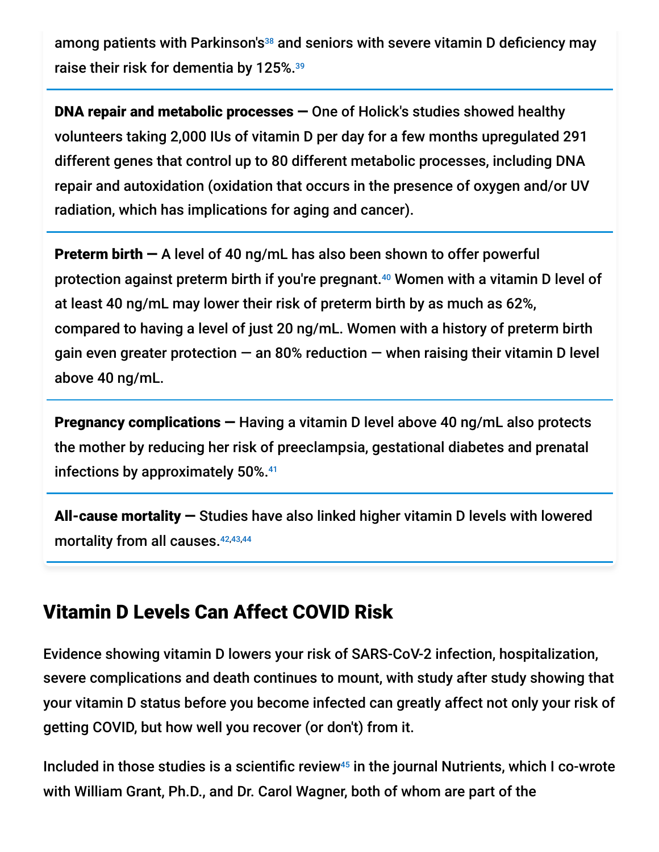among patients with Parkinson's<sup>38</sup> and seniors with severe vitamin D deficiency may raise their risk for dementia by 125%. 39

DNA repair and metabolic processes — One of Holick's studies showed healthy volunteers taking 2,000 IUs of vitamin D per day for a few months upregulated 291 different genes that control up to 80 different metabolic processes, including DNA repair and autoxidation (oxidation that occurs in the presence of oxygen and/or UV radiation, which has implications for aging and cancer).

**Preterm birth – A level of 40 ng/mL has also been shown to offer powerful** protection against preterm birth if you're pregnant.<sup>40</sup> Women with a vitamin D level of at least 40 ng/mL may lower their risk of preterm birth by as much as 62%, compared to having a level of just 20 ng/mL. Women with a history of preterm birth gain even greater protection  $-$  an 80% reduction  $-$  when raising their vitamin D level above 40 ng/mL.

Pregnancy complications — Having a vitamin D level above 40 ng/mL also protects the mother by reducing her risk of preeclampsia, gestational diabetes and prenatal infections by approximately 50%. 41

All-cause mortality — Studies have also linked higher vitamin D levels with lowered mortality from all causes. 42,43,44

### Vitamin D Levels Can Affect COVID Risk

Evidence showing vitamin D lowers your risk of SARS-CoV-2 infection, hospitalization, severe complications and death continues to mount, with study after study showing that your vitamin D status before you become infected can greatly affect not only your risk of getting COVID, but how well you recover (or don't) from it.

Included in those studies is a scientific review<sup>45</sup> in the journal Nutrients, which I co-wrote with William Grant, Ph.D., and Dr. Carol Wagner, both of whom are part of the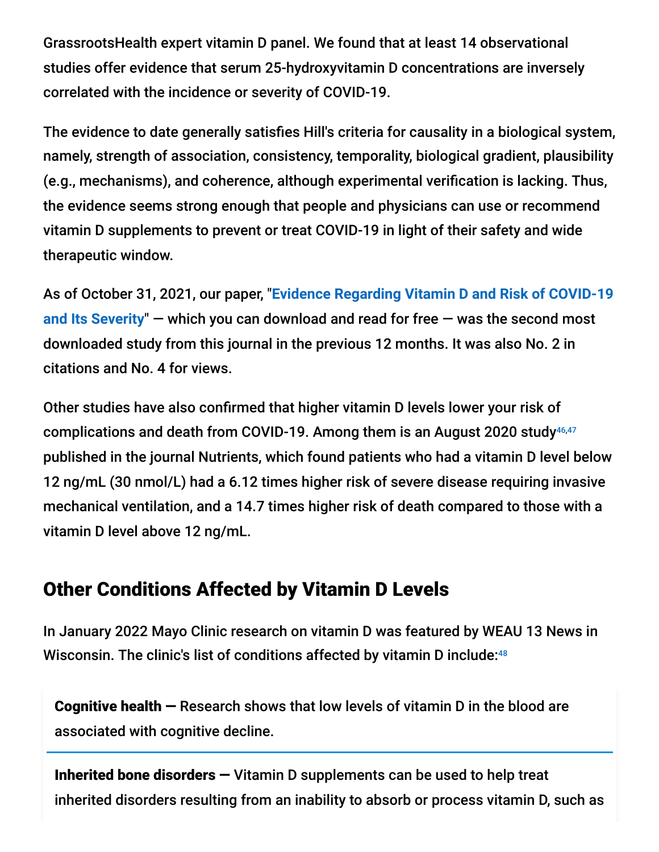GrassrootsHealth expert vitamin D panel. We found that at least 14 observational studies offer evidence that serum 25-hydroxyvitamin D concentrations are inversely correlated with the incidence or severity of COVID-19.

The evidence to date generally satisfies Hill's criteria for causality in a biological system, namely, strength of association, consistency, temporality, biological gradient, plausibility (e.g., mechanisms), and coherence, although experimental verification is lacking. Thus, the evidence seems strong enough that people and physicians can use or recommend vitamin D supplements to prevent or treat COVID-19 in light of their safety and wide therapeutic window.

As of October 31, 2021, our paper, "**Evidence Regarding Vitamin D and Risk of COVID-19 and Its Severity**[" — which you can download and read for free — was the second most](https://www.mdpi.com/2072-6643/12/11/3361/htm) downloaded study from this journal in the previous 12 months. It was also No. 2 in citations and No. 4 for views.

Other studies have also confirmed that higher vitamin D levels lower your risk of complications and death from COVID-19. Among them is an August 2020 study 46,47 published in the journal Nutrients, which found patients who had a vitamin D level below 12 ng/mL (30 nmol/L) had a 6.12 times higher risk of severe disease requiring invasive mechanical ventilation, and a 14.7 times higher risk of death compared to those with a vitamin D level above 12 ng/mL.

## Other Conditions Affected by Vitamin D Levels

In January 2022 Mayo Clinic research on vitamin D was featured by WEAU 13 News in Wisconsin. The clinic's list of conditions affected by vitamin D include: 48

Cognitive health — Research shows that low levels of vitamin D in the blood are associated with cognitive decline.

Inherited bone disorders  $-$  Vitamin D supplements can be used to help treat inherited disorders resulting from an inability to absorb or process vitamin D, such as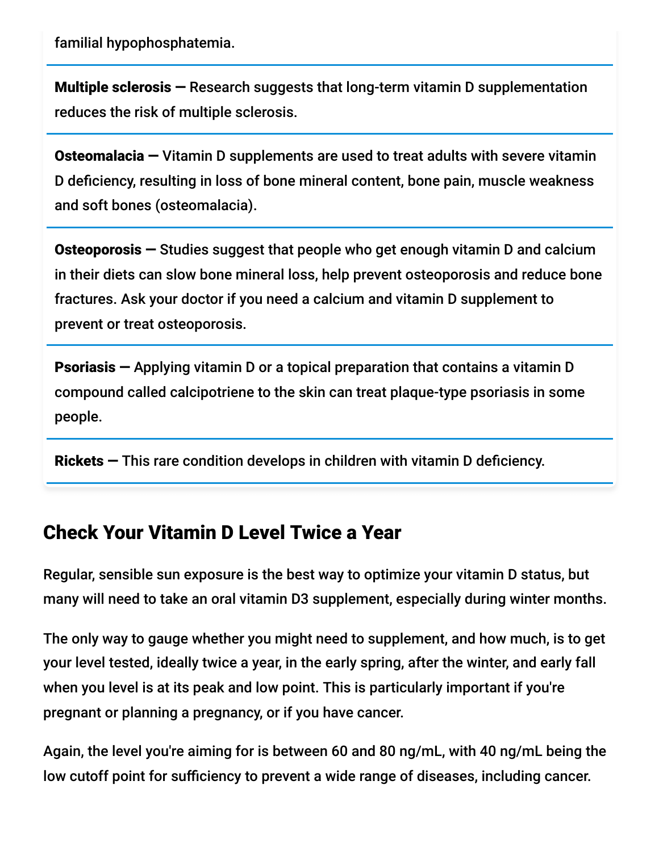familial hypophosphatemia.

Multiple sclerosis — Research suggests that long-term vitamin D supplementation reduces the risk of multiple sclerosis.

Osteomalacia — Vitamin D supplements are used to treat adults with severe vitamin D deficiency, resulting in loss of bone mineral content, bone pain, muscle weakness and soft bones (osteomalacia).

Osteoporosis — Studies suggest that people who get enough vitamin D and calcium in their diets can slow bone mineral loss, help prevent osteoporosis and reduce bone fractures. Ask your doctor if you need a calcium and vitamin D supplement to prevent or treat osteoporosis.

Psoriasis — Applying vitamin D or a topical preparation that contains a vitamin D compound called calcipotriene to the skin can treat plaque-type psoriasis in some people.

Rickets — This rare condition develops in children with vitamin D deficiency.

### Check Your Vitamin D Level Twice a Year

Regular, sensible sun exposure is the best way to optimize your vitamin D status, but many will need to take an oral vitamin D3 supplement, especially during winter months.

The only way to gauge whether you might need to supplement, and how much, is to get your level tested, ideally twice a year, in the early spring, after the winter, and early fall when you level is at its peak and low point. This is particularly important if you're pregnant or planning a pregnancy, or if you have cancer.

Again, the level you're aiming for is between 60 and 80 ng/mL, with 40 ng/mL being the low cutoff point for sufficiency to prevent a wide range of diseases, including cancer.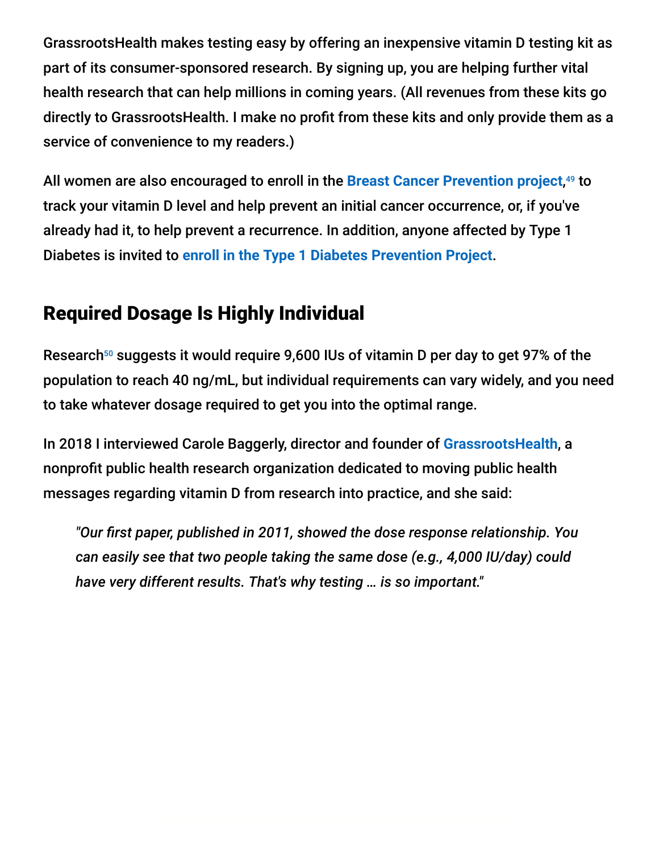GrassrootsHealth makes testing easy by offering an inexpensive vitamin D testing kit as part of its consumer-sponsored research. By signing up, you are helping further vital health research that can help millions in coming years. (All revenues from these kits go directly to GrassrootsHealth. I make no profit from these kits and only provide them as a service of convenience to my readers.)

All women are also encouraged to enroll in the [Breast Cancer Prevention project](https://grassrootshealth.net/project/breast-cancer-prevention/),<sup>49</sup> to track your vitamin D level and help prevent an initial cancer occurrence, or, if you've already had it, to help prevent a recurrence. In addition, anyone affected by Type 1 Diabetes is invited to **[enroll in the Type 1 Diabetes Prevention Project](https://grassrootshealth.net/project/daction-project-prevent-type-1-diabetes/)**.

## Required Dosage Is Highly Individual

Research<sup>50</sup> suggests it would require 9,600 IUs of vitamin D per day to get 97% of the population to reach 40 ng/mL, but individual requirements can vary widely, and you need to take whatever dosage required to get you into the optimal range.

In 2018 I interviewed Carole Baggerly, director and founder of **[GrassrootsHealth](https://grassrootshealth.net/)**, a nonprofit public health research organization dedicated to moving public health messages regarding vitamin D from research into practice, and she said:

*"Our first paper, published in 2011, showed the dose response relationship. You can easily see that two people taking the same dose (e.g., 4,000 IU/day) could have very different results. That's why testing … is so important."*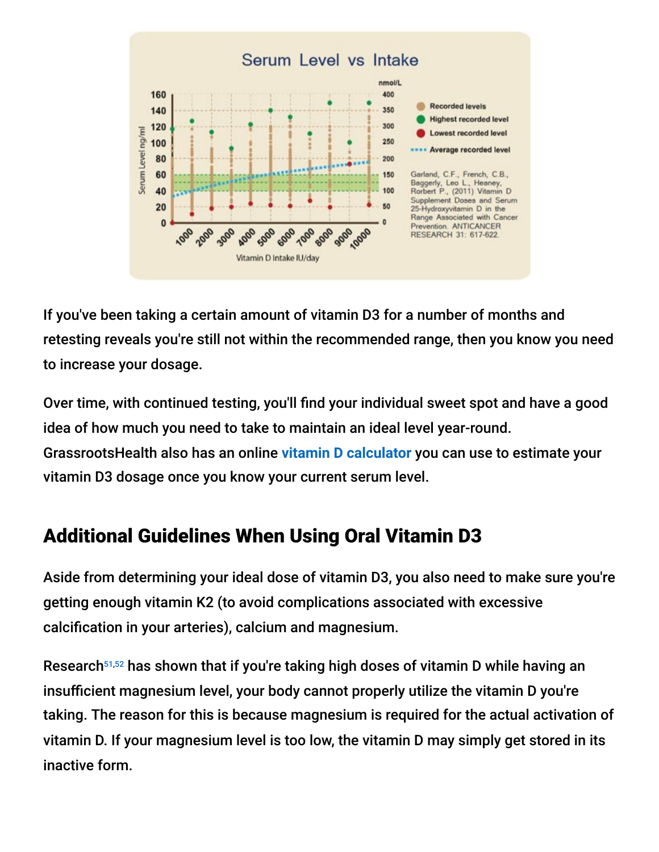

If you've been taking a certain amount of vitamin D3 for a number of months and retesting reveals you're still not within the recommended range, then you know you need to increase your dosage.

Over time, with continued testing, you'll find your individual sweet spot and have a good idea of how much you need to take to maintain an ideal level year-round. GrassrootsHealth also has an online **[vitamin D calculator](https://grassrootshealth.net/project/dcalculator/)** you can use to estimate your vitamin D3 dosage once you know your current serum level.

## Additional Guidelines When Using Oral Vitamin D3

Aside from determining your ideal dose of vitamin D3, you also need to make sure you're getting enough vitamin K2 (to avoid complications associated with excessive calcification in your arteries), calcium and magnesium.

Research<sup>51,52</sup> has shown that if you're taking high doses of vitamin D while having an insufficient magnesium level, your body cannot properly utilize the vitamin D you're taking. The reason for this is because magnesium is required for the actual activation of vitamin D. If your magnesium level is too low, the vitamin D may simply get stored in its inactive form.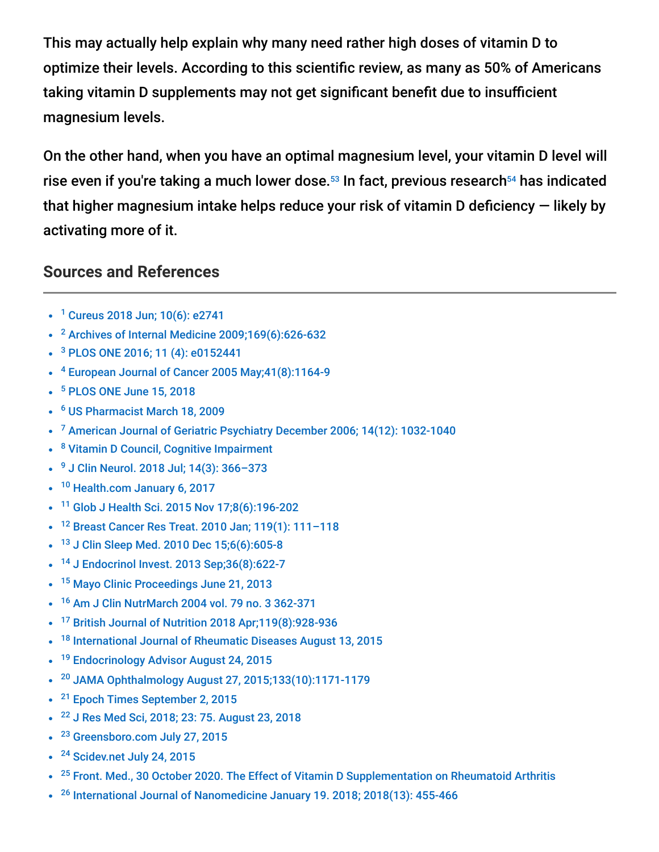This may actually help explain why many need rather high doses of vitamin D to optimize their levels. According to this scientific review, as many as 50% of Americans taking vitamin D supplements may not get significant benefit due to insufficient magnesium levels.

On the other hand, when you have an optimal magnesium level, your vitamin D level will rise even if you're taking a much lower dose. $^{\mathsf{53}}$  In fact, previous research $^{\mathsf{54}}$  has indicated that higher magnesium intake helps reduce your risk of vitamin D deficiency — likely by activating more of it.

#### **Sources and References**

- <sup>1</sup> [Cureus 2018 Jun; 10\(6\): e2741](https://www.ncbi.nlm.nih.gov/pmc/articles/PMC6075634/)
- $2$  [Archives of Internal Medicine 2009;169\(6\):626-632](https://jamanetwork.com/journals/jamainternalmedicine/fullarticle/414878)
- <sup>3</sup> [PLOS ONE 2016; 11 \(4\): e0152441](http://journals.plos.org/plosone/article?id=10.1371/journal.pone.0152441)
- <sup>4</sup> European Journal of Cancer 2005 May; 41(8): 1164-9
- <sup>5</sup> [PLOS ONE June 15, 2018](http://journals.plos.org/plosone/article?id=10.1371/journal.pone.0199265)
- [US Pharmacist March 18, 2009](https://www.uspharmacist.com/article/osteomalacia-vitamin-d-deficiency-and-bone-pain) 6
- <sup>7</sup> [American Journal of Geriatric Psychiatry December 2006; 14\(12\): 1032-1040](https://www.ajgponline.org/article/S1064-7481(12)60890-2/abstract)
- <sup>8</sup> [Vitamin D Council, Cognitive Impairment](https://www.vitamindcouncil.org/health-conditions/cognitive-impairment/#.XBlF7S2ZMo8)
- <sup>9</sup> J Clin Neurol. 2018 Jul; 14(3): 366-373
- <sup>10</sup> [Health.com January 6, 2017](https://www.health.com/headaches-and-migraines/vitamin-d-deficiency-chronic-headaches)
- <sup>11</sup> [Glob J Health Sci. 2015 Nov 17;8\(6\):196-202](https://pubmed.ncbi.nlm.nih.gov/26755458/)
- <sup>12</sup> Breast Cancer Res Treat. 2010 Jan; 119(1): 111-118
- <sup>13</sup> [J Clin Sleep Med. 2010 Dec 15;6\(6\):605-8](https://pubmed.ncbi.nlm.nih.gov/21206551/)
- <sup>14</sup> [J Endocrinol Invest. 2013 Sep;36\(8\):622-7](https://pubmed.ncbi.nlm.nih.gov/23511484/)
- <sup>15</sup> [Mayo Clinic Proceedings June 21, 2013](http://www.mayoclinicproceedings.org/article/S0025-6196%2813%2900404-7/fulltext)
- <sup>16</sup> [Am J Clin NutrMarch 2004 vol. 79 no. 3 362-371](https://academic.oup.com/ajcn/article/79/3/362/4690120)
- <sup>17</sup> [British Journal of Nutrition 2018 Apr;119\(8\):928-936](https://pubmed.ncbi.nlm.nih.gov/29644951/)  $\bullet$
- <sup>18</sup> [International Journal of Rheumatic Diseases August 13, 2015](http://onlinelibrary.wiley.com/doi/10.1111/1756-185X.12727/abstract)  $\bullet$
- <sup>19</sup> [Endocrinology Advisor August 24, 2015](http://www.endocrinologyadvisor.com/general-endocrinology/vitamin-d-dry-eye-syndrome/article/434062/)  $\bullet$
- <sup>20</sup> [JAMA Ophthalmology August 27, 2015;133\(10\):1171-1179](http://archopht.jamanetwork.com/article.aspx?articleid=2430468)  $\bullet$
- <sup>21</sup> [Epoch Times September 2, 2015](http://www.theepochtimes.com/n3/1740846-can-vitamin-d-prevent-macular-degeneration/)
- <sup>22</sup> [J Res Med Sci, 2018; 23: 75. August 23, 2018](https://www.ncbi.nlm.nih.gov/labs/pmc/articles/PMC6116667/)
- <sup>23</sup> [Greensboro.com July 27, 2015](http://www.greensboro.com/life/study-vitamin-d-may-help-fight-hiv/article_6cd279a2-fd0a-5d0c-8a6e-7e8a492ae3f0.html)
- <sup>24</sup> [Scidev.net July 24, 2015](http://www.scidev.net/sub-saharan-africa/hiv-aids/news/high-dose-vitamin-d-fight-hiv-aids.html)
- <sup>25</sup> [Front. Med., 30 October 2020. The Effect of Vitamin D Supplementation on Rheumatoid Arthritis](https://www.frontiersin.org/articles/10.3389/fmed.2020.596007/full)
- $26$  [International Journal of Nanomedicine January 19. 2018; 2018\(13\): 455-466](https://pubmed.ncbi.nlm.nih.gov/29416330/)